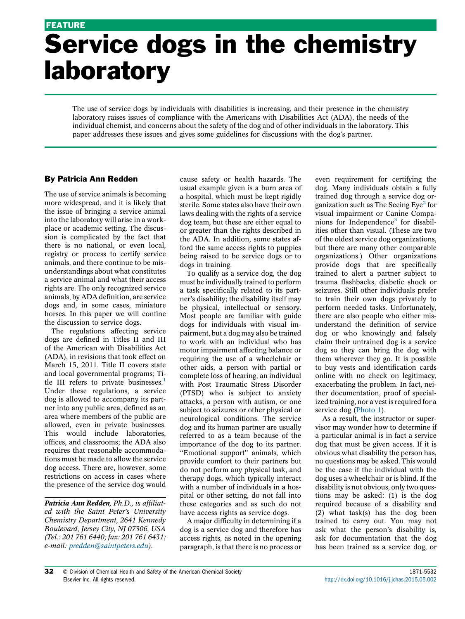## FEATURE

## Service dogs in the chemistry laboratory

The use of service dogs by individuals with disabilities is increasing, and their presence in the chemistry laboratory raises issues of compliance with the Americans with Disabilities Act (ADA), the needs of the individual chemist, and concerns about the safety of the dog and of other individuals in the laboratory. This paper addresses these issues and gives some guidelines for discussions with the dog's partner.

## By Patricia Ann Redden

The use of service animals is becoming more widespread, and it is likely that the issue of bringing a service animal into the laboratory will arise in a workplace or academic setting. The discussion is complicated by the fact that there is no national, or even local, registry or process to certify service animals, and there continue to be misunderstandings about what constitutes a service animal and what their access rights are. The only recognized service animals, by ADA defnition, are service dogs and, in some cases, miniature horses. In this paper we will confne the discussion to service dogs.

The regulations affecting service dogs are defned in Titles II and III of the American with Disabilities Act (ADA), in revisions that took effect on March 15, 2011. Title II covers state and local governmental programs; Title III refers to private businesses. $<sup>1</sup>$ </sup> Under these regulations, a service dog is allowed to accompany its partner into any public area, defned as an area where members of the public are allowed, even in private businesses. This would include laboratories, offices, and classrooms; the ADA also requires that reasonable accommodations must be made to allow the service dog access. There are, however, some restrictions on access in cases where the presence of the service dog would

Patricia Ann Redden, Ph.D., is affiliated with the Saint Peter's University Chemistry Department, 2641 Kennedy Boulevard, Jersey City, NJ 07306, USA (Tel.: 201 761 6440; fax: 201 761 6431; e-mail: [predden@saintpeters.edu\).](mailto:predden@saintpeters.edu)

cause safety or health hazards. The usual example given is a burn area of a hospital, which must be kept rigidly sterile. Some states also have their own laws dealing with the rights of a service dog team, but these are either equal to or greater than the rights described in the ADA. In addition, some states afford the same access rights to puppies being raised to be service dogs or to dogs in training.

To qualify as a service dog, the dog must be individually trained to perform a task specifcally related to its partner's disability; the disability itself may be physical, intellectual or sensory. Most people are familiar with guide dogs for individuals with visual impairment, but a dog may also be trained to work with an individual who has motor impairment affecting balance or requiring the use of a wheelchair or other aids, a person with partial or complete loss of hearing, an individual with Post Traumatic Stress Disorder (PTSD) who is subject to anxiety attacks, a person with autism, or one subject to seizures or other physical or neurological conditions. The service dog and its human partner are usually referred to as a team because of the importance of the dog to its partner. "Emotional support" animals, which provide comfort to their partners but do not perform any physical task, and therapy dogs, which typically interact with a number of individuals in a hospital or other setting, do not fall into these categories and as such do not have access rights as service dogs.

A major diffculty in determining if a dog is a service dog and therefore has access rights, as noted in the opening paragraph, is that there is no process or even requirement for certifying the dog. Many individuals obtain a fully trained dog through a service dog organization such as The Seeing Eye<sup>2</sup> for visual impairment or Canine Companions for Independence<sup>3</sup> for disabilities other than visual. (These are two of the oldest service dog organizations, but there are many other comparable organizations.) Other organizations provide dogs that are specifcally trained to alert a partner subject to trauma fashbacks, diabetic shock or seizures. Still other individuals prefer to train their own dogs privately to perform needed tasks. Unfortunately, there are also people who either misunderstand the defnition of service dog or who knowingly and falsely claim their untrained dog is a service dog so they can bring the dog with them wherever they go. It is possible to buy vests and identifcation cards online with no check on legitimacy, exacerbating the problem. In fact, neither documentation, proof of specialized training, nor a vest is required for a service dog [\(Photo 1\)](#page-1-0).

As a result, the instructor or supervisor may wonder how to determine if a particular animal is in fact a service dog that must be given access. If it is obvious what disability the person has, no questions may be asked. This would be the case if the individual with the dog uses a wheelchair or is blind. If the disability is not obvious, only two questions may be asked: (1) is the dog required because of a disability and (2) what task(s) has the dog been trained to carry out. You may not ask what the person's disability is, ask for documentation that the dog has been trained as a service dog, or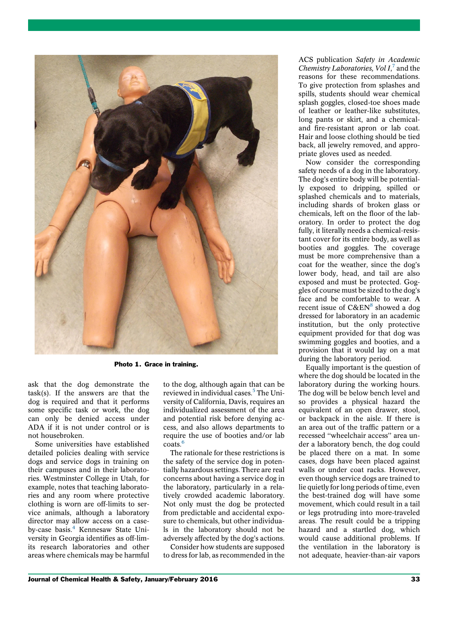<span id="page-1-0"></span>

Photo 1. Grace in training.

ask that the dog demonstrate the task(s). If the answers are that the dog is required and that it performs some specifc task or work, the dog can only be denied access under ADA if it is not under control or is not housebroken.

Some universities have established detailed policies dealing with service dogs and service dogs in training on their campuses and in their laboratories. Westminster College in Utah, for example, notes that teaching laboratories and any room where protective clothing is worn are off-limits to service animals, although a laboratory director may allow access on a case-by-case basis.<sup>[4](#page-2-0)</sup> Kennesaw State University in Georgia identifes as off-limits research laboratories and other areas where chemicals may be harmful to t[h](#page-2-0)e dog, although again that can be reviewed in individual cases.<sup>[5](#page-2-0)</sup> The University of California, Davis, requires an individualized assessment of the area and potential risk before denying access, and also allows departments to [re](#page-2-0)quire the use of booties and/or lab coats.<sup>[6](#page-2-0)</sup>

The rationale for these restrictions is the safety of the service dog in potentially hazardous settings. There are real concerns about having a service dog in the laboratory, particularly in a relatively crowded academic laboratory. Not only must the dog be protected from predictable and accidental exposure to chemicals, but other individuals in the laboratory should not be adversely affected by the dog's actions.

Consider how students are supposed to dress for lab, as recommended in the

ACS publication Safety in Academic Chemistry Laboratories, Vol  $I$ ,<sup>[7](#page-2-0)</sup> and the reasons for these recommendations. To give protection from splashes and spills, students should wear chemical splash goggles, closed-toe shoes made of leather or leather-like substitutes, long pants or skirt, and a chemicaland fre-resistant apron or lab coat. Hair and loose clothing should be tied back, all jewelry removed, and appropriate gloves used as needed.

Now consider the corresponding safety needs of a dog in the laboratory. The dog's entire body will be potentially exposed to dripping, spilled or splashed chemicals and to materials, including shards of broken glass or chemicals, left on the floor of the laboratory. In order to protect the dog fully, it literally needs a chemical-resistant cover for its entire body, as well as booties and goggles. The coverage must be more comprehensive than a coat for the weather, since the dog's lower body, head, and tail are also exposed and must be protected. Goggles of course must be sized to the dog's face and be comfortable to wear. A recent issue of  $C&EN^8$  showed a dog dressed for laboratory in an academic institution, but the only protective equipment provided for that dog was swimming goggles and booties, and a provision that it would lay on a mat during the laboratory period.

Equally important is the question of where the dog should be located in the laboratory during the working hours. The dog will be below bench level and so provides a physical hazard the equivalent of an open drawer, stool, or backpack in the aisle. If there is an area out of the traffic pattern or a recessed ''wheelchair access'' area under a laboratory bench, the dog could be placed there on a mat. In some cases, dogs have been placed against walls or under coat racks. However, even though service dogs are trained to lie quietly for long periods of time, even the best-trained dog will have some movement, which could result in a tail or legs protruding into more-traveled areas. The result could be a tripping hazard and a startled dog, which would cause additional problems. If the ventilation in the laboratory is not adequate, heavier-than-air vapors